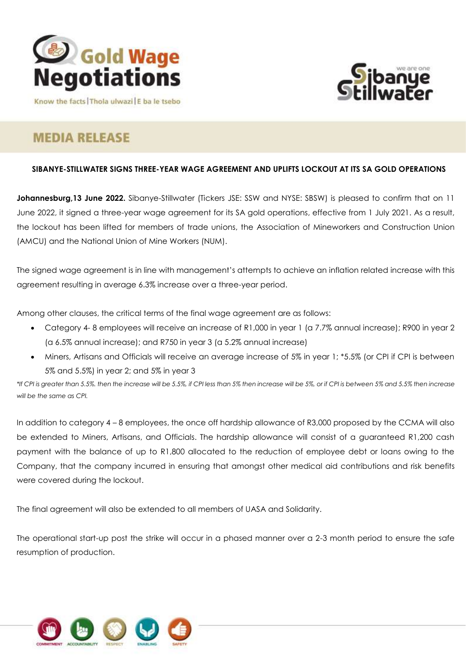



Know the facts Thola ulwazi E ba le tsebo

# **MEDIA RELEASE**

## **SIBANYE-STILLWATER SIGNS THREE-YEAR WAGE AGREEMENT AND UPLIFTS LOCKOUT AT ITS SA GOLD OPERATIONS**

**Johannesburg,13 June 2022.** Sibanye-Stillwater (Tickers JSE: SSW and NYSE: SBSW) is pleased to confirm that on 11 June 2022, it signed a three-year wage agreement for its SA gold operations, effective from 1 July 2021. As a result, the lockout has been lifted for members of trade unions, the Association of Mineworkers and Construction Union (AMCU) and the National Union of Mine Workers (NUM).

The signed wage agreement is in line with management's attempts to achieve an inflation related increase with this agreement resulting in average 6.3% increase over a three-year period.

Among other clauses, the critical terms of the final wage agreement are as follows:

- Category 4- 8 employees will receive an increase of R1,000 in year 1 (a 7.7% annual increase); R900 in year 2 (a 6.5% annual increase); and R750 in year 3 (a 5.2% annual increase)
- Miners, Artisans and Officials will receive an average increase of 5% in year 1; \*5.5% (or CPI if CPI is between 5% and 5.5%) in year 2; and 5% in year 3

*\*If CPI is greater than 5.5%. then the increase will be 5.5%, if CPI less than 5% then increase will be 5%, or if CPI is between 5% and 5.5% then increase will be the same as CPI.*

In addition to category 4 – 8 employees, the once off hardship allowance of R3,000 proposed by the CCMA will also be extended to Miners, Artisans, and Officials. The hardship allowance will consist of a guaranteed R1,200 cash payment with the balance of up to R1,800 allocated to the reduction of employee debt or loans owing to the Company, that the company incurred in ensuring that amongst other medical aid contributions and risk benefits were covered during the lockout.

The final agreement will also be extended to all members of UASA and Solidarity.

The operational start-up post the strike will occur in a phased manner over a 2-3 month period to ensure the safe resumption of production.